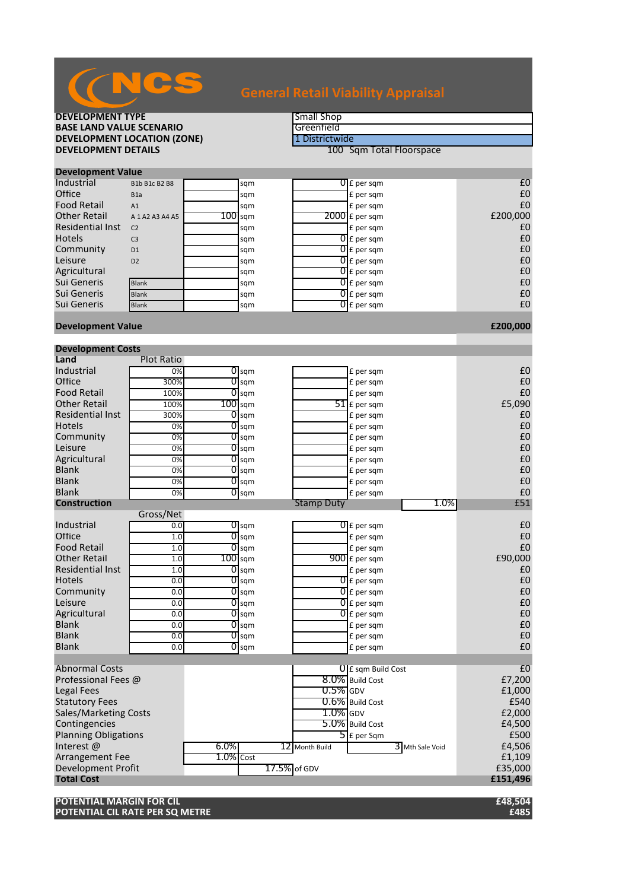| <b>DEVELOPMENT TYPE</b>                   |                     |              | <b>Small Shop</b>       |                   |                          |                |  |
|-------------------------------------------|---------------------|--------------|-------------------------|-------------------|--------------------------|----------------|--|
| <b>BASE LAND VALUE SCENARIO</b>           |                     |              | Greenfield              |                   |                          |                |  |
| <b>DEVELOPMENT LOCATION (ZONE)</b>        |                     |              |                         | 1 Districtwide    |                          |                |  |
| <b>DEVELOPMENT DETAILS</b>                |                     |              |                         |                   | 100 Sqm Total Floorspace |                |  |
|                                           |                     |              |                         |                   |                          |                |  |
| <b>Development Value</b>                  |                     |              |                         |                   |                          |                |  |
| Industrial                                | B1b B1c B2 B8       |              | sqm                     |                   | $0f$ per sqm             | £0             |  |
| Office                                    | B <sub>1</sub> a    |              | sqm                     |                   | £ per sqm                | £0             |  |
| <b>Food Retail</b>                        | A1                  |              | sqm                     |                   | £ per sqm                | £0             |  |
| <b>Other Retail</b>                       | A 1 A 2 A 3 A 4 A 5 | $100$ sqm    |                         |                   | $2000$ $E$ per sqm       | £200,000       |  |
| <b>Residential Inst</b>                   | C <sub>2</sub>      |              | sqm                     |                   | £ per sqm                | £0             |  |
| <b>Hotels</b>                             | C <sub>3</sub>      |              | sqm                     |                   | $\overline{0}$ £ per sqm | £0             |  |
| Community                                 | D <sub>1</sub>      |              | sqm                     |                   | $\overline{0}$ E per sqm | £0             |  |
| Leisure                                   | D <sub>2</sub>      |              | sqm                     |                   | $0$ $f$ per sqm          | £0             |  |
| Agricultural                              |                     |              | sqm                     |                   | $0$ $f$ per sqm          | £0             |  |
| Sui Generis                               | <b>Blank</b>        |              | sqm                     |                   | $\overline{0}$ £ per sqm | £0             |  |
| Sui Generis                               | <b>Blank</b>        |              | sqm                     |                   | $\overline{0}$ E per sqm | £0             |  |
| Sui Generis                               | Blank               |              | sqm                     |                   | $\overline{0}$ £ per sqm | £0             |  |
|                                           |                     |              |                         |                   |                          |                |  |
| <b>Development Value</b>                  |                     |              |                         |                   |                          | £200,000       |  |
|                                           |                     |              |                         |                   |                          |                |  |
| <b>Development Costs</b>                  |                     |              |                         |                   |                          |                |  |
| Land<br>Industrial                        | <b>Plot Ratio</b>   |              |                         |                   |                          |                |  |
| Office                                    | 0%                  | 0            | $\overline{O}$ sqm      |                   | £ per sqm                | £0<br>£0       |  |
|                                           | 300%                |              | sqm                     |                   | £ per sqm                | £0             |  |
| <b>Food Retail</b><br><b>Other Retail</b> | 100%                |              | $\overline{0}$ sqm      |                   | £ per sqm                |                |  |
|                                           | 100%                | $100$ sqm    |                         |                   | $51$ £ per sqm           | £5,090         |  |
| <b>Residential Inst</b><br><b>Hotels</b>  | 300%                |              | $0$ sqm                 |                   | £ per sqm                | £0             |  |
| Community                                 | 0%                  | 0            | sqm                     |                   | £ per sqm                | £0<br>£0       |  |
| Leisure                                   | 0%                  | 01           | sqm                     |                   | £ per sqm                | £0             |  |
| Agricultural                              | 0%                  | 0<br>0       | sqm                     |                   | £ per sqm                | £0             |  |
| <b>Blank</b>                              | 0%<br>0%            | 0            | sqm                     |                   | £ per sqm                | £0             |  |
| <b>Blank</b>                              |                     | 01           | sqm                     |                   | £ per sqm                | £0             |  |
| <b>Blank</b>                              | 0%<br>0%            | 0            | sqm                     |                   | £ per sqm                | £0             |  |
| <b>Construction</b>                       |                     |              | sqm                     | <b>Stamp Duty</b> | £ per sqm<br>1.0%        | £51            |  |
|                                           | Gross/Net           |              |                         |                   |                          |                |  |
| Industrial                                | 0.0                 |              | $\sigma$ <sub>sqm</sub> |                   | $0f$ per sqm             | £0             |  |
| Office                                    | 1.0                 | 0            | sqm                     |                   | £ per sqm                | £0             |  |
| <b>Food Retail</b>                        | 1.0                 |              | $0$ sqm                 |                   | £ per sqm                | £0             |  |
| <b>Other Retail</b>                       | 1.0                 | $100$ sqm    |                         |                   | $900$ £ per sqm          | £90,000        |  |
| <b>Residential Inst</b>                   | 1.0                 |              | $\overline{0}$ sqm      |                   | £ per sqm                | £0             |  |
| <b>Hotels</b>                             | 0.0                 |              | $\overline{0}$ sqm      |                   | $0$ £ per sqm            | £0             |  |
| Community                                 | 0.0                 |              | $\overline{O}$ sqm      |                   | $\overline{0}$ £ per sqm | £0             |  |
| Leisure                                   | 0.0                 |              | $0$ sqm                 |                   | $\overline{0}$ £ per sqm | £0             |  |
| Agricultural                              | 0.0                 |              | $\overline{0}$ sqm      |                   | $\overline{0}$ £ per sqm | £0             |  |
| <b>Blank</b>                              | 0.0                 |              | $\overline{0}$ sqm      |                   | £ per sqm                | £0             |  |
| <b>Blank</b>                              | 0.0                 |              | $\overline{0}$ sqm      |                   | £ per sqm                | £0             |  |
| <b>Blank</b>                              | 0.0                 |              | $\overline{0}$ sqm      |                   | £ per sqm                | £0             |  |
|                                           |                     |              |                         |                   |                          |                |  |
| <b>Abnormal Costs</b>                     |                     |              |                         |                   | U E sqm Build Cost       | E <sub>0</sub> |  |
| Professional Fees @                       |                     |              |                         |                   | 8.0% Build Cost          | £7,200         |  |
| Legal Fees                                |                     |              |                         | $0.5\%$ GDV       |                          | £1,000         |  |
| <b>Statutory Fees</b>                     |                     |              |                         |                   | 0.6% Build Cost          | £540           |  |
| <b>Sales/Marketing Costs</b>              |                     |              |                         | $1.0\%$ GDV       |                          | £2,000         |  |
| Contingencies                             |                     |              |                         |                   | 5.0% Build Cost          | £4,500         |  |
| <b>Planning Obligations</b>               |                     |              |                         |                   | $\overline{5}$ E per Sqm | £500           |  |
| Interest@                                 |                     | 6.0%         |                         | 12 Month Build    | 3 Mth Sale Void          | £4,506         |  |
| <b>Arrangement Fee</b>                    |                     | $1.0\%$ Cost |                         |                   |                          | £1,109         |  |
| Development Profit                        |                     |              | 17.5% of GDV            |                   |                          | £35,000        |  |
| <b>Total Cost</b>                         |                     |              |                         |                   |                          | £151,496       |  |
|                                           |                     |              |                         |                   |                          |                |  |
| POTENTIAL MARGIN FOR CIL                  |                     |              |                         |                   |                          | £48,504        |  |

**POTENTIAL CIL RATE PER SQ METRE £485**

**CNCS**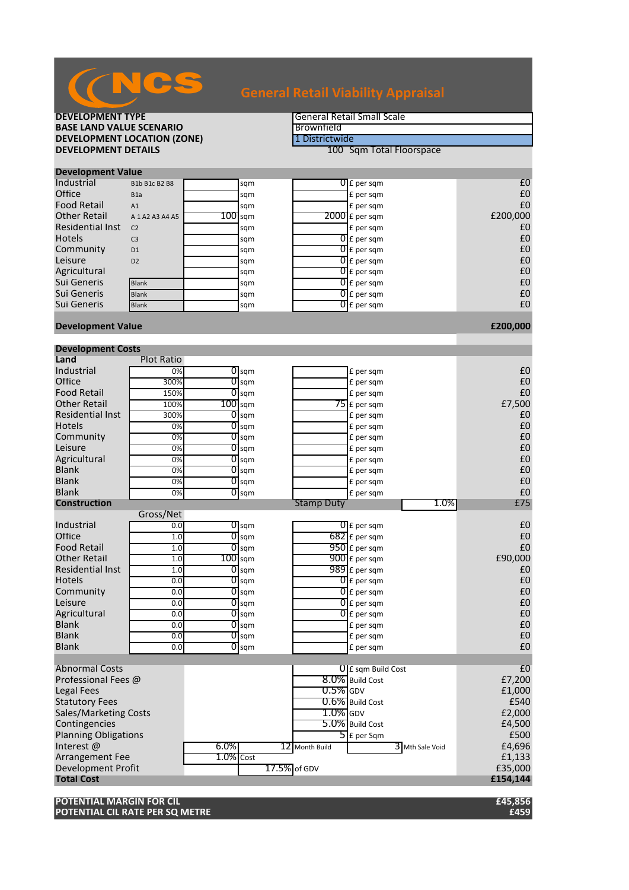| <b>BASE LAND VALUE SCENARIO</b>    |                     |              | Brownfield         |                   |                            |                   |
|------------------------------------|---------------------|--------------|--------------------|-------------------|----------------------------|-------------------|
| <b>DEVELOPMENT LOCATION (ZONE)</b> |                     |              | 1 Districtwide     |                   |                            |                   |
| <b>DEVELOPMENT DETAILS</b>         |                     |              |                    |                   | 100 Sqm Total Floorspace   |                   |
|                                    |                     |              |                    |                   |                            |                   |
| <b>Development Value</b>           |                     |              |                    |                   |                            |                   |
| Industrial                         | B1b B1c B2 B8       |              | sqm                |                   | $0f$ per sqm               | £0                |
| Office                             | B <sub>1</sub> a    |              | sqm                |                   | £ per sqm                  | £0                |
| <b>Food Retail</b>                 | A1                  |              | sqm                |                   | £ per sqm                  | £0                |
| <b>Other Retail</b>                | A 1 A 2 A 3 A 4 A 5 | $100$ sqm    |                    |                   | $2000$ $f$ per sqm         | £200,000          |
| <b>Residential Inst</b>            | C <sub>2</sub>      |              | sqm                |                   | £ per sqm                  | £0                |
| Hotels                             | C <sub>3</sub>      |              | sqm                |                   | $0$ £ per sqm              | £0                |
| Community                          | D <sub>1</sub>      |              | sqm                |                   | $\overline{0}$ £ per sqm   | £0                |
| Leisure                            | D <sub>2</sub>      |              | sqm                |                   | $\overline{0}$ E per sqm   | £0                |
| Agricultural                       |                     |              | sqm                |                   | $\overline{0}$ E per sqm   | £0                |
| Sui Generis                        | <b>Blank</b>        |              | sqm                |                   | $\overline{0}$ £ per sqm   | £0                |
| Sui Generis                        | <b>Blank</b>        |              | sqm                |                   | $\overline{0}$ £ per sqm   | £0                |
| Sui Generis                        | <b>Blank</b>        |              | sqm                |                   | $\overline{0}$ £ per sqm   | £0                |
| <b>Development Value</b>           |                     |              |                    |                   |                            | £200,000          |
|                                    |                     |              |                    |                   |                            |                   |
| <b>Development Costs</b>           |                     |              |                    |                   |                            |                   |
| Land                               | <b>Plot Ratio</b>   |              |                    |                   |                            |                   |
| Industrial                         | 0%                  |              | $\overline{0}$ sqm |                   | £ per sqm                  | £0                |
| Office                             | 300%                | 0            | sqm                |                   | £ per sqm                  | $\pmb{\text{f0}}$ |
| <b>Food Retail</b>                 | 150%                | 0            | sqm                |                   | £ per sqm                  | £0                |
| <b>Other Retail</b>                | 100%                | $100$ sqm    |                    |                   | $75$ £ per sqm             | £7,500            |
| <b>Residential Inst</b>            | 300%                | 0            | sqm                |                   | £ per sqm                  | £0                |
| <b>Hotels</b>                      | 0%                  | 0            | sqm                |                   | £ per sqm                  | £0                |
| Community                          | 0%                  | ण            | sqm                |                   | £ per sqm                  | £0                |
| Leisure                            | 0%                  | ण            | sqm                |                   | £ per sqm                  | £0                |
| Agricultural<br><b>Blank</b>       | 0%                  | 0            | sqm                |                   | £ per sqm                  | £0                |
| <b>Blank</b>                       | 0%                  | 0            | sqm                |                   | £ per sqm                  | £0                |
| <b>Blank</b>                       | 0%<br>0%            | 0            | sqm<br>$O$ sqm     |                   | £ per sqm                  | £0<br>£0          |
| <b>Construction</b>                |                     |              |                    | <b>Stamp Duty</b> | £ per sqm<br>1.0%          | £75               |
|                                    | Gross/Net           |              |                    |                   |                            |                   |
| Industrial                         | 0.0                 |              | $\overline{O}$ sqm |                   | $\overline{0}$ £ per sqm   | £0                |
| Office                             | 1.0                 | 0            | sqm                |                   | $682$ £ per sqm            | £0                |
| <b>Food Retail</b>                 | 1.0                 |              | $\overline{0}$ sqm |                   | $950$ £ per sqm            | £0                |
| <b>Other Retail</b>                | 1.0                 | $100$ sqm    |                    |                   | $\overline{900}$ £ per sqm | £90,000           |
| <b>Residential Inst</b>            | 1.0                 |              | $\overline{O}$ sqm |                   | $989$ £ per sqm            | £0                |
| <b>Hotels</b>                      | 0.0                 | 0            | sqm                |                   | $\overline{0}$ £ per sqm   | £0                |
| Community                          | 0.0                 |              | $\overline{O}$ sqm |                   | $\overline{0}$ £ per sqm   | £0                |
| Leisure                            | 0.0                 |              | $0$ sqm            |                   | $\overline{0}$ £ per sqm   | £0                |
| Agricultural                       | 0.0                 |              | $\overline{0}$ sqm |                   | $\overline{0}$ £ per sqm   | £0                |
| <b>Blank</b>                       | 0.0                 | 0            | sqm                |                   | £ per sqm                  | £0                |
| <b>Blank</b>                       | 0.0                 |              | $0$ sqm            |                   | £ per sqm                  | £0                |
| <b>Blank</b>                       | 0.0                 | 0            | sqm                |                   | £ per sqm                  | £0                |
|                                    |                     |              |                    |                   |                            |                   |
| <b>Abnormal Costs</b>              |                     |              |                    |                   | $0$ E sqm Build Cost       | £0                |
| Professional Fees @                |                     |              |                    |                   | 8.0% Build Cost            | £7,200            |
| <b>Legal Fees</b>                  |                     |              |                    | $0.5\%$ GDV       |                            | £1,000            |
| <b>Statutory Fees</b>              |                     |              |                    |                   | 0.6% Build Cost            | £540              |
| Sales/Marketing Costs              |                     |              |                    | $1.0\%$ GDV       |                            | £2,000            |
| Contingencies                      |                     |              |                    |                   | 5.0% Build Cost            | £4,500            |
| <b>Planning Obligations</b>        |                     |              |                    |                   | $5$ E per Sqm              | £500              |
| Interest@                          |                     | 6.0%         |                    | 12 Month Build    | 3 Mth Sale Void            | £4,696            |
| <b>Arrangement Fee</b>             |                     | $1.0\%$ Cost |                    |                   |                            | £1,133            |
| Development Profit                 |                     |              | 17.5% of GDV       |                   |                            | £35,000           |
| <b>Total Cost</b>                  |                     |              |                    |                   |                            | £154,144          |
|                                    |                     |              |                    |                   |                            |                   |
| POTENTIAL MARGIN FOR CIL           |                     |              |                    |                   |                            | £45,856           |

## **DEVELOPMENT TYPE General Retail Small Scale**

**POTENTIAL CIL RATE PER SQ METRE £459**

# NCS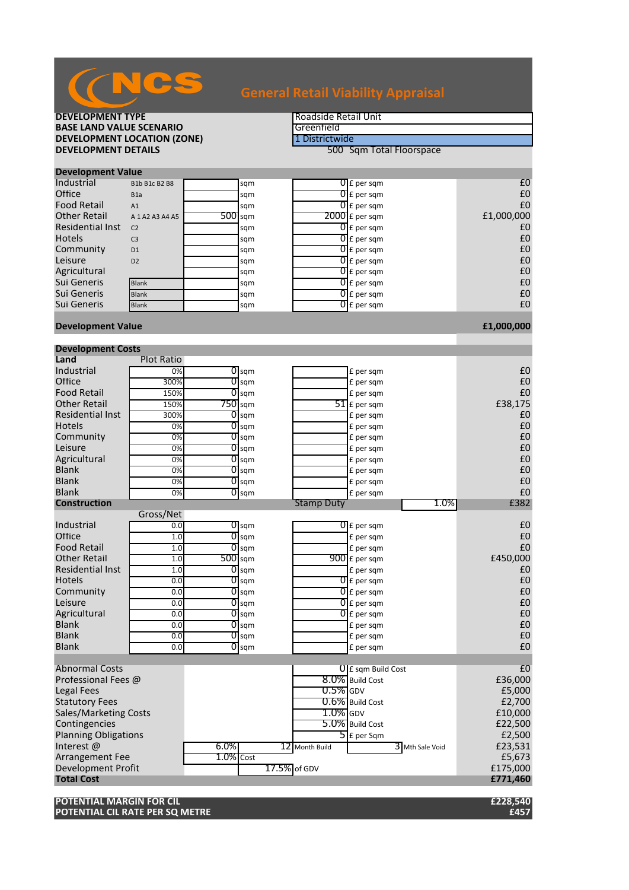| <b>DEVELOPMENT TYPE</b>            |                     |           |                    | Roadside Retail Unit |                                   |            |  |  |
|------------------------------------|---------------------|-----------|--------------------|----------------------|-----------------------------------|------------|--|--|
| <b>BASE LAND VALUE SCENARIO</b>    |                     |           | Greenfield         |                      |                                   |            |  |  |
| <b>DEVELOPMENT LOCATION (ZONE)</b> |                     |           |                    |                      | 1 Districtwide                    |            |  |  |
| <b>DEVELOPMENT DETAILS</b>         |                     |           |                    |                      | 500 Sqm Total Floorspace          |            |  |  |
|                                    |                     |           |                    |                      |                                   |            |  |  |
| <b>Development Value</b>           |                     |           |                    |                      |                                   |            |  |  |
| Industrial                         | B1b B1c B2 B8       |           | sqm                |                      | $0$ $f$ per sqm                   | £0         |  |  |
| Office                             | B <sub>1a</sub>     |           | sqm                |                      | $\overline{0}$ E per sqm          | £0         |  |  |
| <b>Food Retail</b>                 | A1                  |           | sqm                |                      | $\overline{0}$ E per sqm          | £0         |  |  |
| <b>Other Retail</b>                | A 1 A 2 A 3 A 4 A 5 | $500$ sqm |                    |                      | $2000$ $E$ per sqm                | £1,000,000 |  |  |
| <b>Residential Inst</b>            | C <sub>2</sub>      |           | sqm                |                      | $\overline{0}$ E per sqm          | £0         |  |  |
| <b>Hotels</b>                      | C <sub>3</sub>      |           | sqm                |                      | $\overline{0}$ E per sqm          | £0         |  |  |
| Community                          | D <sub>1</sub>      |           | sqm                |                      | $0f$ per sqm                      | £0         |  |  |
| Leisure                            | D <sub>2</sub>      |           | sqm                |                      | $\overline{0}$ E per sqm          | £0         |  |  |
| Agricultural                       |                     |           | sqm                |                      | $0f$ per sqm                      | £0         |  |  |
| Sui Generis                        | <b>Blank</b>        |           | sqm                |                      | $\overline{0}$ E per sqm          | £0         |  |  |
| Sui Generis                        | <b>Blank</b>        |           | sqm                |                      | $\overline{0}$ E per sqm          | £0         |  |  |
| Sui Generis                        | <b>Blank</b>        |           | sqm                |                      | $\overline{0}$ E per sqm          | £0         |  |  |
|                                    |                     |           |                    |                      |                                   |            |  |  |
| <b>Development Value</b>           |                     |           |                    |                      |                                   | £1,000,000 |  |  |
|                                    |                     |           |                    |                      |                                   |            |  |  |
| <b>Development Costs</b>           |                     |           |                    |                      |                                   |            |  |  |
| Land                               | <b>Plot Ratio</b>   |           |                    |                      |                                   |            |  |  |
| Industrial                         | 0%                  |           | $\overline{0}$ sqm |                      | £ per sqm                         | £0         |  |  |
| Office                             | 300%                | 0         | sqm                |                      | £ per sqm                         | £0         |  |  |
| <b>Food Retail</b>                 | 150%                | 0         | sqm                |                      | £ per sqm                         | £0         |  |  |
| <b>Other Retail</b>                | 150%                | $750$ sqm |                    |                      | 51 £ per sqm                      | £38,175    |  |  |
| Residential Inst                   | 300%                |           | $0$ sqm            |                      | £ per sqm                         | £0         |  |  |
| <b>Hotels</b>                      | 0%                  | 0         | sqm                |                      | £ per sqm                         | £0         |  |  |
| Community                          | 0%                  | 0         | sqm                |                      | £ per sqm                         | £0         |  |  |
| Leisure                            | 0%                  |           | $\overline{0}$ sqm |                      | £ per sqm                         | £0         |  |  |
| Agricultural                       | 0%                  | 0         | sqm                |                      | £ per sqm                         | £0         |  |  |
| <b>Blank</b>                       | 0%                  | 0         | sqm                |                      | £ per sqm                         | £0         |  |  |
| <b>Blank</b>                       | 0%                  | 0         | sqm                |                      | £ per sqm                         | £0         |  |  |
| <b>Blank</b>                       | 0%                  |           | $O$ sqm            |                      | £ per sqm                         | £0         |  |  |
| <b>Construction</b>                |                     |           |                    | <b>Stamp Duty</b>    | 1.0%                              | £382       |  |  |
|                                    | Gross/Net           |           |                    |                      |                                   |            |  |  |
| Industrial                         | 0.0                 |           | $\overline{0}$ sqm |                      | $\overline{0}$ £ per sam          | £0         |  |  |
| Office                             | 1.0                 |           | $\overline{0}$ sqm |                      | £ per sqm                         | £0         |  |  |
| <b>Food Retail</b>                 | 1.0                 | 0         | sqm                |                      | £ per sqm                         | £0         |  |  |
| <b>Other Retail</b>                | 1.0                 | $500$ sqm |                    |                      | $900$ £ per sqm                   | £450,000   |  |  |
| <b>Residential Inst</b>            | 1.0                 |           | $\overline{0}$ sqm |                      | £ per sqm                         | £0         |  |  |
| Hotels                             | 0.0                 |           | $\overline{0}$ sqm |                      | $0 \mathsf{E}$ per sqm            | £0         |  |  |
| Community                          | 0.0                 |           | $\overline{0}$ sqm |                      | $\overline{0}$ £ per sqm          | £0         |  |  |
| Leisure                            | 0.0                 | 0         | sqm                |                      | $\overline{0}$ E per sqm          | £0         |  |  |
| Agricultural                       | 0.0                 |           | $\overline{0}$ sqm |                      | $\overline{0}$ E per sqm          | £0         |  |  |
| <b>Blank</b>                       | 0.0                 |           | $\overline{0}$ sqm |                      | £ per sqm                         | £0         |  |  |
| <b>Blank</b>                       | 0.0                 |           | $\overline{0}$ sqm |                      | £ per sqm                         | £0         |  |  |
| <b>Blank</b>                       | 0.0                 |           | $\overline{0}$ sqm |                      | £ per sqm                         | £0         |  |  |
|                                    |                     |           |                    |                      |                                   |            |  |  |
| <b>Abnormal Costs</b>              |                     |           |                    |                      | U E sqm Build Cost                | £0         |  |  |
| Professional Fees @                |                     |           |                    |                      | 8.0% Build Cost                   | £36,000    |  |  |
| <b>Legal Fees</b>                  |                     |           |                    | $0.5\%$ GDV          |                                   | £5,000     |  |  |
| <b>Statutory Fees</b>              |                     |           |                    |                      | 0.6% Build Cost                   | £2,700     |  |  |
| <b>Sales/Marketing Costs</b>       |                     |           |                    | $1.0\%$ GDV          |                                   | £10,000    |  |  |
| Contingencies                      |                     |           |                    |                      | 5.0% Build Cost                   | £22,500    |  |  |
| <b>Planning Obligations</b>        |                     |           |                    |                      | $\overline{\mathsf{S}}$ E per Sqm | £2,500     |  |  |
| Interest@                          |                     | 6.0%      |                    | 12 Month Build       | 3 Mth Sale Void                   | £23,531    |  |  |
| <b>Arrangement Fee</b>             |                     | 1.0% Cost |                    |                      |                                   | £5,673     |  |  |
| Development Profit                 |                     |           |                    | 17.5% of GDV         |                                   | £175,000   |  |  |
| <b>Total Cost</b>                  |                     |           |                    |                      |                                   | £771,460   |  |  |
|                                    |                     |           |                    |                      |                                   |            |  |  |
| POTENTIAL MARGIN FOR CIL           |                     |           |                    |                      |                                   | £228,540   |  |  |
| POTENTIAL CIL RATE PER SQ METRE    |                     |           |                    |                      |                                   | £457       |  |  |

## NCS **General Retail Viability Appraisal**